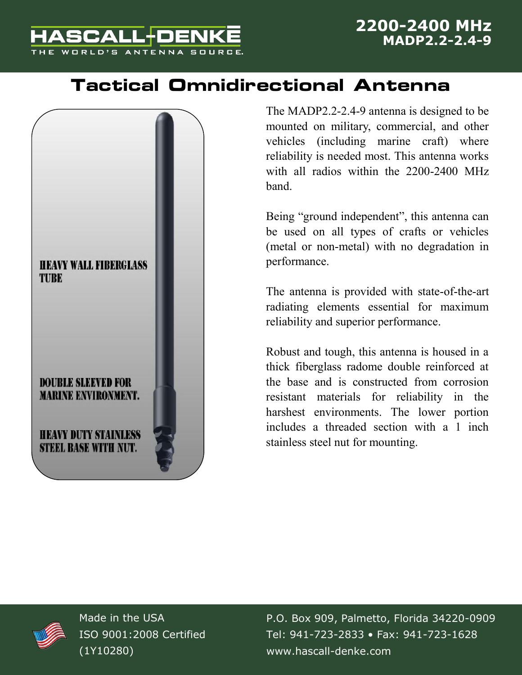

## **Tactical Omnidirectional Antenna**



The MADP2.2-2.4-9 antenna is designed to be mounted on military, commercial, and other vehicles (including marine craft) where reliability is needed most. This antenna works with all radios within the 2200-2400 MHz band.

Being "ground independent", this antenna can be used on all types of crafts or vehicles (metal or non-metal) with no degradation in performance.

The antenna is provided with state-of-the-art radiating elements essential for maximum reliability and superior performance.

Robust and tough, this antenna is housed in a thick fiberglass radome double reinforced at the base and is constructed from corrosion resistant materials for reliability in the harshest environments. The lower portion includes a threaded section with a 1 inch stainless steel nut for mounting.



Made in the USA ISO 9001:2008 Certified (1Y10280)

P.O. Box 909, Palmetto, Florida 34220-0909 Tel: 941-723-2833 • Fax: 941-723-1628 www.hascall-denke.com